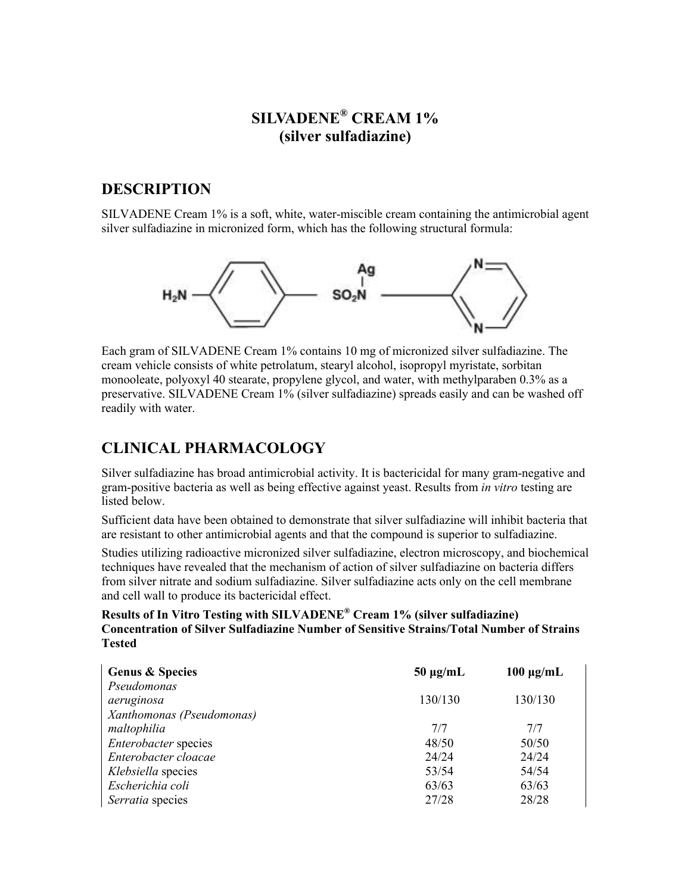# **SILVADENE® CREAM 1% (silver sulfadiazine)**

### **DESCRIPTION**

SILVADENE Cream 1% is a soft, white, water-miscible cream containing the antimicrobial agent silver sulfadiazine in micronized form, which has the following structural formula:



Each gram of SILVADENE Cream 1% contains 10 mg of micronized silver sulfadiazine. The cream vehicle consists of white petrolatum, stearyl alcohol, isopropyl myristate, sorbitan monooleate, polyoxyl 40 stearate, propylene glycol, and water, with methylparaben 0.3% as a preservative. SILVADENE Cream 1% (silver sulfadiazine) spreads easily and can be washed off readily with water.

# **CLINICAL PHARMACOLOGY**

Silver sulfadiazine has broad antimicrobial activity. It is bactericidal for many gram-negative and gram-positive bacteria as well as being effective against yeast. Results from *in vitro* testing are listed below.

Sufficient data have been obtained to demonstrate that silver sulfadiazine will inhibit bacteria that are resistant to other antimicrobial agents and that the compound is superior to sulfadiazine.

Studies utilizing radioactive micronized silver sulfadiazine, electron microscopy, and biochemical techniques have revealed that the mechanism of action of silver sulfadiazine on bacteria differs from silver nitrate and sodium sulfadiazine. Silver sulfadiazine acts only on the cell membrane and cell wall to produce its bactericidal effect.

#### **Results of In Vitro Testing with SILVADENE® Cream 1% (silver sulfadiazine) Concentration of Silver Sulfadiazine Number of Sensitive Strains/Total Number of Strains Tested**

| <b>Genus &amp; Species</b>  | $50 \mu g/mL$ | $100 \mu g/mL$ |
|-----------------------------|---------------|----------------|
| Pseudomonas                 |               |                |
| aeruginosa                  | 130/130       | 130/130        |
| Xanthomonas (Pseudomonas)   |               |                |
| maltophilia                 | 7/7           | 7/7            |
| <i>Enterobacter</i> species | 48/50         | 50/50          |
| Enterobacter cloacae        | 24/24         | 24/24          |
| Klebsiella species          | 53/54         | 54/54          |
| Escherichia coli            | 63/63         | 63/63          |
| Serratia species            | 27/28         | 28/28          |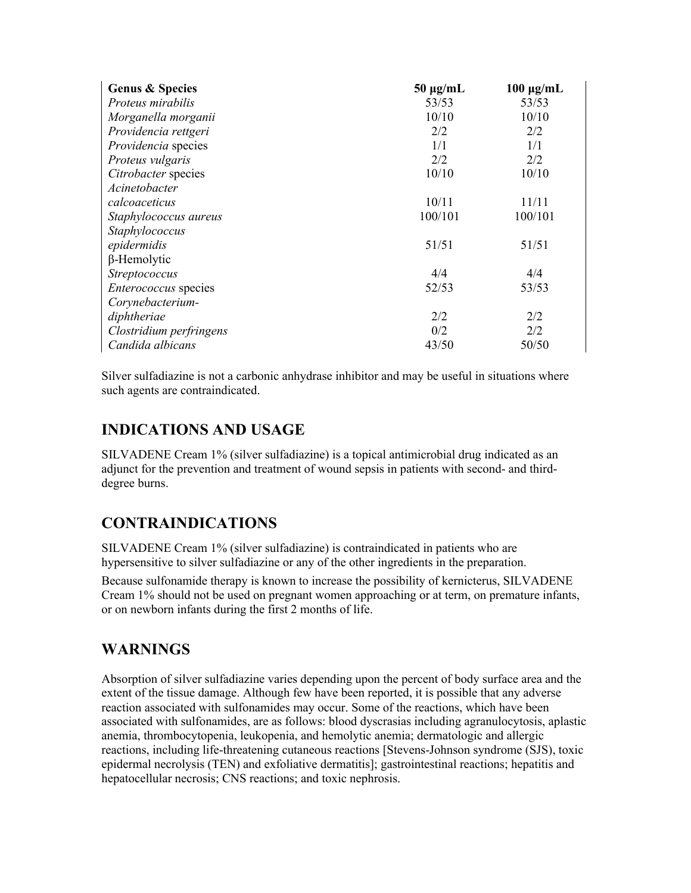| <b>Genus &amp; Species</b>  | $50 \mu g/mL$ | $100 \mu g/mL$ |
|-----------------------------|---------------|----------------|
| <i>Proteus mirabilis</i>    | 53/53         | 53/53          |
| Morganella morganii         | 10/10         | 10/10          |
| Providencia rettgeri        | 2/2           | 2/2            |
| Providencia species         | 1/1           | 1/1            |
| Proteus vulgaris            | 2/2           | 2/2            |
| Citrobacter species         | 10/10         | 10/10          |
| Acinetobacter               |               |                |
| calcoaceticus               | 10/11         | 11/11          |
| Staphylococcus aureus       | 100/101       | 100/101        |
| Staphylococcus              |               |                |
| epidermidis                 | 51/51         | 51/51          |
| $\beta$ -Hemolytic          |               |                |
| <i>Streptococcus</i>        | 4/4           | 4/4            |
| <i>Enterococcus</i> species | 52/53         | 53/53          |
| Corynebacterium-            |               |                |
| diphtheriae                 | 2/2           | 2/2            |
| Clostridium perfringens     | 0/2           | 2/2            |
| Candida albicans            | 43/50         | 50/50          |

Silver sulfadiazine is not a carbonic anhydrase inhibitor and may be useful in situations where such agents are contraindicated.

### **INDICATIONS AND USAGE**

SILVADENE Cream 1% (silver sulfadiazine) is a topical antimicrobial drug indicated as an adjunct for the prevention and treatment of wound sepsis in patients with second- and thirddegree burns.

# <span id="page-1-0"></span>**CONTRAINDICATIONS**

SILVADENE Cream 1% (silver sulfadiazine) is contraindicated in patients who are hypersensitive to silver sulfadiazine or any of the other ingredients in the preparation.

Because sulfonamide therapy is known to increase the possibility of kernicterus, SILVADENE Cream 1% should not be used on pregnant women approaching or at term, on premature infants, or on newborn infants during the first 2 months of life.

# **WARNINGS**

Absorption of silver sulfadiazine varies depending upon the percent of body surface area and the extent of the tissue damage. Although few have been reported, it is possible that any adverse reaction associated with sulfonamides may occur. Some of the reactions, which have been associated with sulfonamides, are as follows: blood dyscrasias including agranulocytosis, aplastic anemia, thrombocytopenia, leukopenia, and hemolytic anemia; dermatologic and allergic reactions, including life-threatening cutaneous reactions [Stevens-Johnson syndrome (SJS), toxic epidermal necrolysis (TEN) and exfoliative dermatitis]; gastrointestinal reactions; hepatitis and hepatocellular necrosis; CNS reactions; and toxic nephrosis.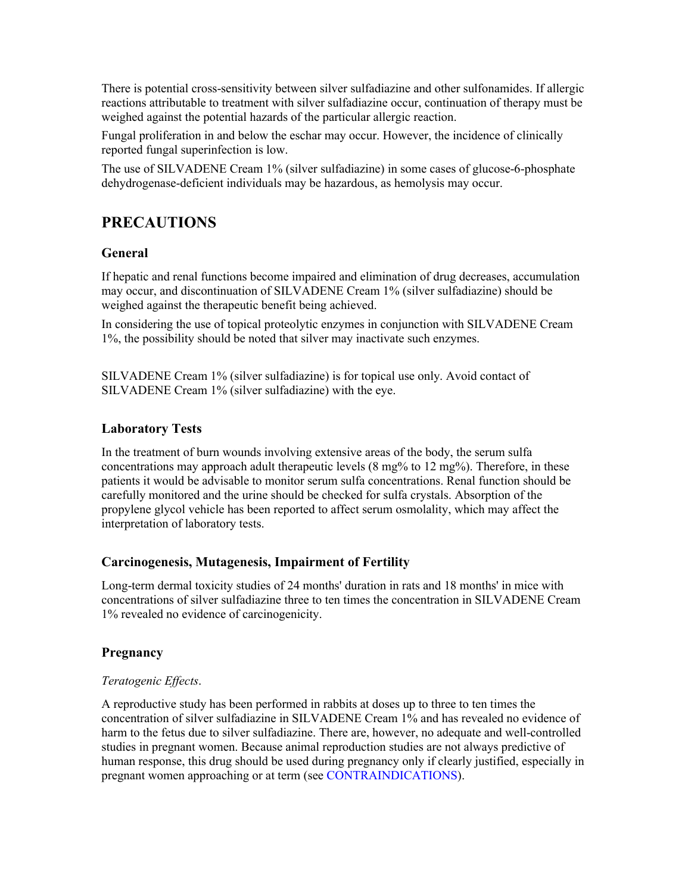There is potential cross-sensitivity between silver sulfadiazine and other sulfonamides. If allergic reactions attributable to treatment with silver sulfadiazine occur, continuation of therapy must be weighed against the potential hazards of the particular allergic reaction.

Fungal proliferation in and below the eschar may occur. However, the incidence of clinically reported fungal superinfection is low.

The use of SILVADENE Cream 1% (silver sulfadiazine) in some cases of glucose-6-phosphate dehydrogenase-deficient individuals may be hazardous, as hemolysis may occur.

## **PRECAUTIONS**

### **General**

If hepatic and renal functions become impaired and elimination of drug decreases, accumulation may occur, and discontinuation of SILVADENE Cream 1% (silver sulfadiazine) should be weighed against the therapeutic benefit being achieved.

In considering the use of topical proteolytic enzymes in conjunction with SILVADENE Cream 1%, the possibility should be noted that silver may inactivate such enzymes.

SILVADENE Cream 1% (silver sulfadiazine) is for topical use only. Avoid contact of SILVADENE Cream 1% (silver sulfadiazine) with the eye.

#### **Laboratory Tests**

In the treatment of burn wounds involving extensive areas of the body, the serum sulfa concentrations may approach adult therapeutic levels  $(8 \text{ mg\% to } 12 \text{ mg\%})$ . Therefore, in these patients it would be advisable to monitor serum sulfa concentrations. Renal function should be carefully monitored and the urine should be checked for sulfa crystals. Absorption of the propylene glycol vehicle has been reported to affect serum osmolality, which may affect the interpretation of laboratory tests.

#### **Carcinogenesis, Mutagenesis, Impairment of Fertility**

Long-term dermal toxicity studies of 24 months' duration in rats and 18 months' in mice with concentrations of silver sulfadiazine three to ten times the concentration in SILVADENE Cream 1% revealed no evidence of carcinogenicity.

### **Pregnancy**

#### *Teratogenic Effects*.

A reproductive study has been performed in rabbits at doses up to three to ten times the concentration of silver sulfadiazine in SILVADENE Cream 1% and has revealed no evidence of harm to the fetus due to silver sulfadiazine. There are, however, no adequate and well-controlled studies in pregnant women. Because animal reproduction studies are not always predictive of human response, this drug should be used during pregnancy only if clearly justified, especially in pregnant women approaching or at term (see [CONTRAINDICATIONS\)](#page-1-0).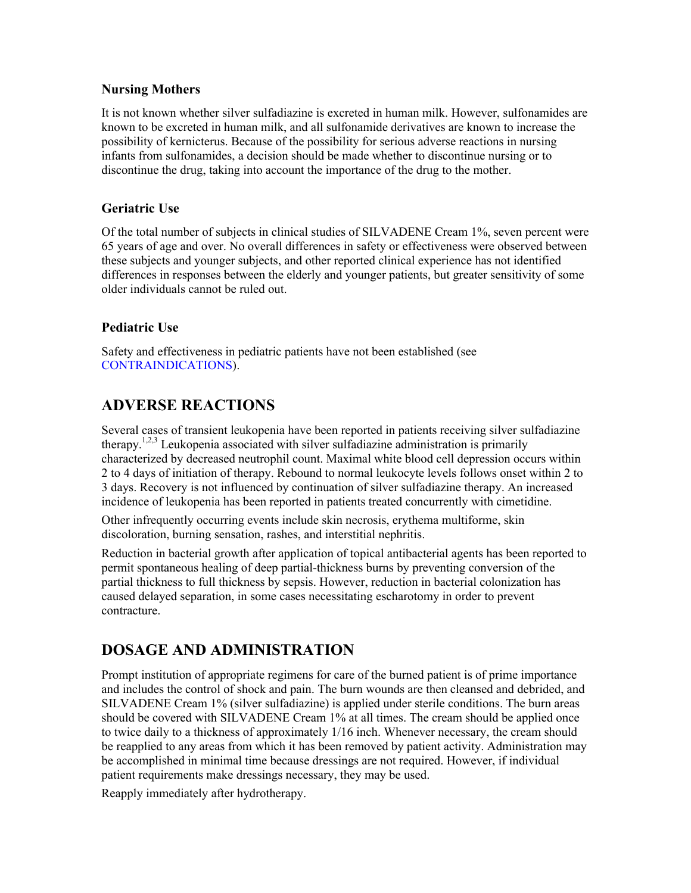#### **Nursing Mothers**

It is not known whether silver sulfadiazine is excreted in human milk. However, sulfonamides are known to be excreted in human milk, and all sulfonamide derivatives are known to increase the possibility of kernicterus. Because of the possibility for serious adverse reactions in nursing infants from sulfonamides, a decision should be made whether to discontinue nursing or to discontinue the drug, taking into account the importance of the drug to the mother.

### **Geriatric Use**

Of the total number of subjects in clinical studies of SILVADENE Cream 1%, seven percent were 65 years of age and over. No overall differences in safety or effectiveness were observed between these subjects and younger subjects, and other reported clinical experience has not identified differences in responses between the elderly and younger patients, but greater sensitivity of some older individuals cannot be ruled out.

### **Pediatric Use**

Safety and effectiveness in pediatric patients have not been established (see [CONTRAINDICATIONS](#page-1-0)).

# **ADVERSE REACTIONS**

Several cases of transient leukopenia have been reported in patients receiving silver sulfadiazine therapy.<sup>1,2,3</sup> Leukopenia associated with silver sulfadiazine administration is primarily characterized by decreased neutrophil count. Maximal white blood cell depression occurs within 2 to 4 days of initiation of therapy. Rebound to normal leukocyte levels follows onset within 2 to 3 days. Recovery is not influenced by continuation of silver sulfadiazine therapy. An increased incidence of leukopenia has been reported in patients treated concurrently with cimetidine.

Other infrequently occurring events include skin necrosis, erythema multiforme, skin discoloration, burning sensation, rashes, and interstitial nephritis.

Reduction in bacterial growth after application of topical antibacterial agents has been reported to permit spontaneous healing of deep partial-thickness burns by preventing conversion of the partial thickness to full thickness by sepsis. However, reduction in bacterial colonization has caused delayed separation, in some cases necessitating escharotomy in order to prevent contracture.

# **DOSAGE AND ADMINISTRATION**

Prompt institution of appropriate regimens for care of the burned patient is of prime importance and includes the control of shock and pain. The burn wounds are then cleansed and debrided, and SILVADENE Cream 1% (silver sulfadiazine) is applied under sterile conditions. The burn areas should be covered with SILVADENE Cream 1% at all times. The cream should be applied once to twice daily to a thickness of approximately 1/16 inch. Whenever necessary, the cream should be reapplied to any areas from which it has been removed by patient activity. Administration may be accomplished in minimal time because dressings are not required. However, if individual patient requirements make dressings necessary, they may be used.

Reapply immediately after hydrotherapy.